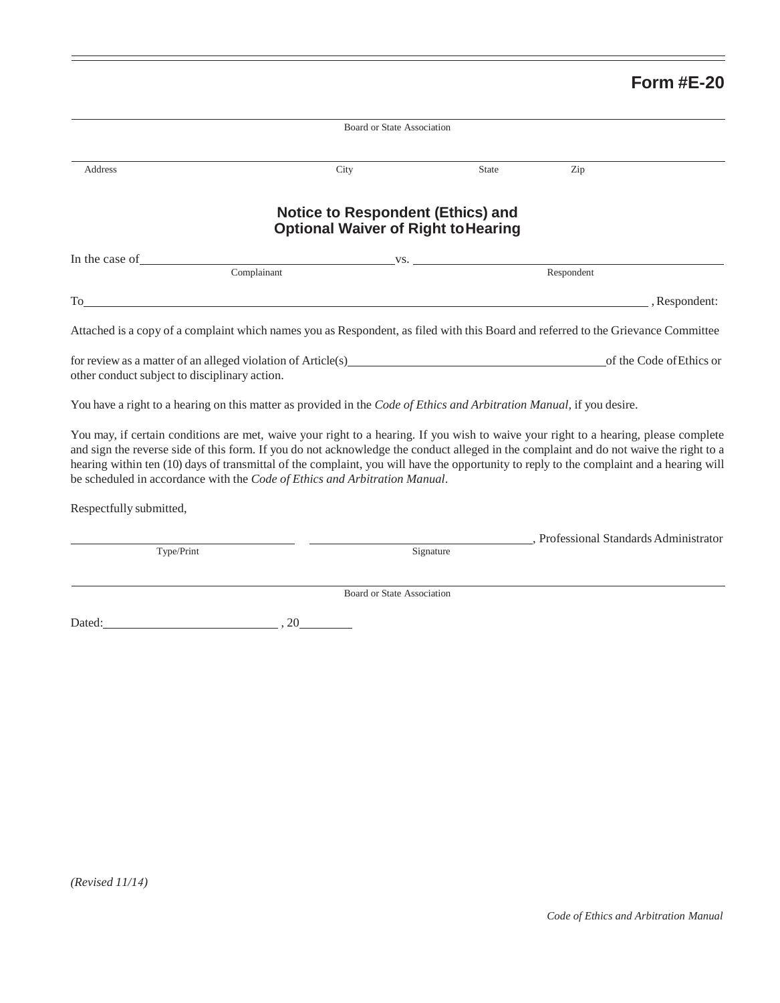## **Form #E-20**

|                                                                                                                                                                     | Board or State Association                                                                                                                                                                                                                                                     |              |                                        |
|---------------------------------------------------------------------------------------------------------------------------------------------------------------------|--------------------------------------------------------------------------------------------------------------------------------------------------------------------------------------------------------------------------------------------------------------------------------|--------------|----------------------------------------|
| Address                                                                                                                                                             | City                                                                                                                                                                                                                                                                           | <b>State</b> | Zip                                    |
|                                                                                                                                                                     | <b>Notice to Respondent (Ethics) and</b><br><b>Optional Waiver of Right to Hearing</b>                                                                                                                                                                                         |              |                                        |
| In the case of                                                                                                                                                      | $\mathbf{V}$ S.                                                                                                                                                                                                                                                                |              |                                        |
|                                                                                                                                                                     | Complainant                                                                                                                                                                                                                                                                    |              | Respondent                             |
|                                                                                                                                                                     | $\Gamma$ o                                                                                                                                                                                                                                                                     |              | , Respondent:                          |
|                                                                                                                                                                     | Attached is a copy of a complaint which names you as Respondent, as filed with this Board and referred to the Grievance Committee                                                                                                                                              |              |                                        |
| other conduct subject to disciplinary action.                                                                                                                       | for review as a matter of an alleged violation of Article(s) example and the set of the set of the set of the set of the set of the set of the set of the set of the set of the set of the set of the set of the set of the se                                                 |              | of the Code of Ethics or               |
|                                                                                                                                                                     | You have a right to a hearing on this matter as provided in the Code of Ethics and Arbitration Manual, if you desire.                                                                                                                                                          |              |                                        |
|                                                                                                                                                                     | You may, if certain conditions are met, waive your right to a hearing. If you wish to waive your right to a hearing, please complete<br>and sign the reverse side of this form. If you do not acknowledge the conduct alleged in the complaint and do not waive the right to a |              |                                        |
|                                                                                                                                                                     | be scheduled in accordance with the Code of Ethics and Arbitration Manual.                                                                                                                                                                                                     |              |                                        |
|                                                                                                                                                                     |                                                                                                                                                                                                                                                                                |              |                                        |
| hearing within ten (10) days of transmittal of the complaint, you will have the opportunity to reply to the complaint and a hearing will<br>Respectfully submitted, |                                                                                                                                                                                                                                                                                |              | , Professional Standards Administrator |
| Type/Print                                                                                                                                                          |                                                                                                                                                                                                                                                                                | Signature    |                                        |
|                                                                                                                                                                     | Board or State Association                                                                                                                                                                                                                                                     |              |                                        |
| Dated: 20                                                                                                                                                           |                                                                                                                                                                                                                                                                                |              |                                        |